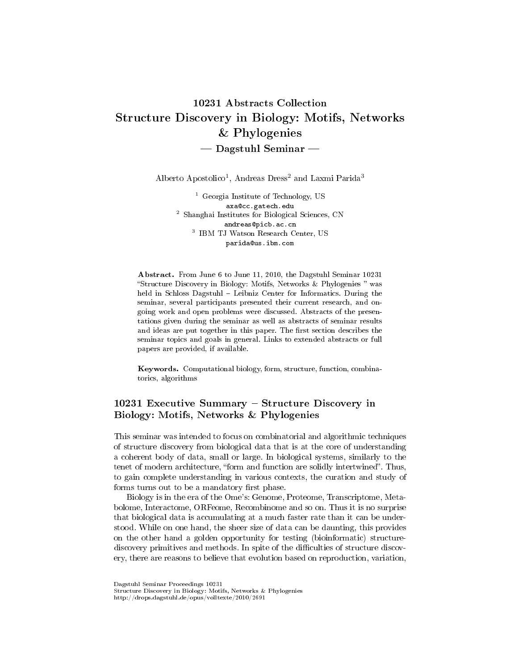# 10231 Abstracts Collection Structure Discovery in Biology: Motifs, Networks & Phylogenies  $-$  Dagstuhl Seminar  $-$

Alberto Apostolico<sup>1</sup>, Andreas Dress<sup>2</sup> and Laxmi Parida<sup>3</sup>

<sup>1</sup> Georgia Institute of Technology, US axa@cc.gatech.edu <sup>2</sup> Shanghai Institutes for Biological Sciences, CN andreas@picb.ac.cn 3 IBM TJ Watson Research Center, US parida@us.ibm.com

Abstract. From June 6 to June 11, 2010, the Dagstuhl Seminar 10231 Structure Discovery in Biology: Motifs, Networks & Phylogenies was held in Schloss Dagstuhl - Leibniz Center for Informatics. During the seminar, several participants presented their current research, and ongoing work and open problems were discussed. Abstracts of the presentations given during the seminar as well as abstracts of seminar results and ideas are put together in this paper. The first section describes the seminar topics and goals in general. Links to extended abstracts or full papers are provided, if available.

Keywords. Computational biology, form, structure, function, combinatorics, algorithms

# $10231$  Executive Summary – Structure Discovery in Biology: Motifs, Networks & Phylogenies

This seminar was intended to focus on combinatorial and algorithmic techniques of structure discovery from biological data that is at the core of understanding a coherent body of data, small or large. In biological systems, similarly to the tenet of modern architecture, "form and function are solidly intertwined". Thus, to gain complete understanding in various contexts, the curation and study of forms turns out to be a mandatory first phase.

Biology is in the era of the Ome's: Genome, Proteome, Transcriptome, Metabolome, Interactome, ORFeome, Recombinome and so on. Thus it is no surprise that biological data is accumulating at a much faster rate than it can be understood. While on one hand, the sheer size of data can be daunting, this provides on the other hand a golden opportunity for testing (bioinformatic) structurediscovery primitives and methods. In spite of the difficulties of structure discovery, there are reasons to believe that evolution based on reproduction, variation,

Dagstuhl Seminar Proceedings 10231

http://drops.dagstuhl.de/opus/volltexte/2010/2691

Structure Discovery in Biology: Motifs, Networks & Phylogenies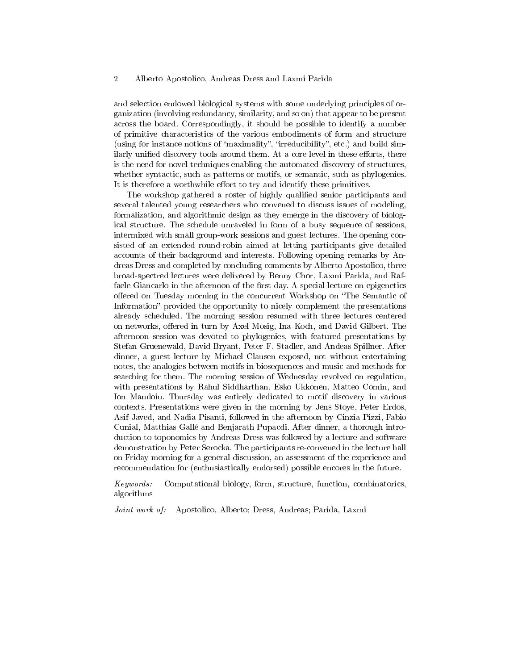and selection endowed biological systems with some underlying principles of organization (involving redundancy, similarity, and so on) that appear to be present across the board. Correspondingly, it should be possible to identify a number of primitive characteristics of the various embodiments of form and structure (using for instance notions of "maximality", "irreducibility", etc.) and build similarly unified discovery tools around them. At a core level in these efforts, there is the need for novel techniques enabling the automated discovery of structures, whether syntactic, such as patterns or motifs, or semantic, such as phylogenies. It is therefore a worthwhile effort to try and identify these primitives.

The workshop gathered a roster of highly qualified senior participants and several talented young researchers who convened to discuss issues of modeling, formalization, and algorithmic design as they emerge in the discovery of biological structure. The schedule unraveled in form of a busy sequence of sessions, intermixed with small group-work sessions and guest lectures. The opening consisted of an extended round-robin aimed at letting participants give detailed accounts of their background and interests. Following opening remarks by Andreas Dress and completed by concluding comments by Alberto Apostolico, three broad-spectred lectures were delivered by Benny Chor, Laxmi Parida, and Raffaele Giancarlo in the afternoon of the first day. A special lecture on epigenetics offered on Tuesday morning in the concurrent Workshop on "The Semantic of Information" provided the opportunity to nicely complement the presentations already scheduled. The morning session resumed with three lectures centered on networks, offered in turn by Axel Mosig, Ina Koch, and David Gilbert. The afternoon session was devoted to phylogenies, with featured presentations by Stefan Gruenewald, David Bryant, Peter F. Stadler, and Andeas Spillner. After dinner, a guest lecture by Michael Clausen exposed, not without entertaining notes, the analogies between motifs in biosequences and music and methods for searching for them. The morning session of Wednesday revolved on regulation, with presentations by Rahul Siddharthan, Esko Ukkonen, Matteo Comin, and Ion Mandoiu. Thursday was entirely dedicated to motif discovery in various contexts. Presentations were given in the morning by Jens Stoye, Peter Erdos, Asif Javed, and Nadia Pisanti, followed in the afternoon by Cinzia Pizzi, Fabio Cunial, Matthias Gallé and Benjarath Pupacdi. After dinner, a thorough introduction to toponomics by Andreas Dress was followed by a lecture and software demonstration by Peter Serocka. The participants re-convened in the lecture hall on Friday morning for a general discussion, an assessment of the experience and recommendation for (enthusiastically endorsed) possible encores in the future.

Keywords: Computational biology, form, structure, function, combinatorics, algorithms

Joint work of: Apostolico, Alberto; Dress, Andreas; Parida, Laxmi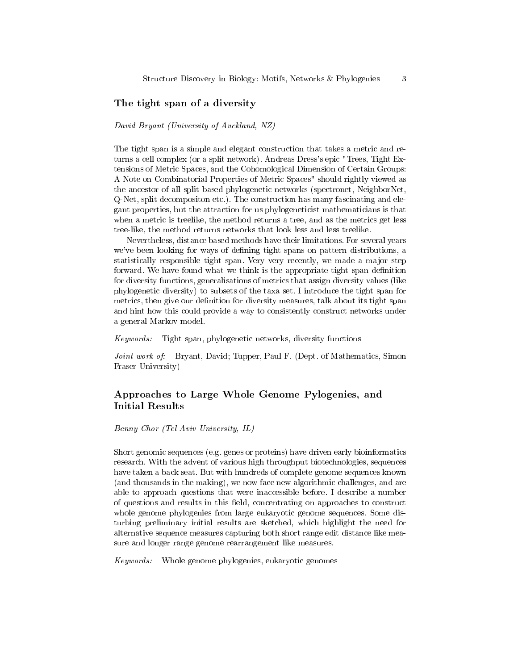### The tight span of a diversity

### David Bryant (University of Auckland, NZ)

The tight span is a simple and elegant construction that takes a metric and returns a cell complex (or a split network). Andreas Dress's epic "Trees, Tight Extensions of Metric Spaces, and the Cohomological Dimension of Certain Groups: A Note on Combinatorial Properties of Metric Spaces" should rightly viewed as the ancestor of all split based phylogenetic networks (spectronet, NeighborNet, Q-Net, split decompositon etc.). The construction has many fascinating and elegant properties, but the attraction for us phylogeneticist mathematicians is that when a metric is treelike, the method returns a tree, and as the metrics get less tree-like, the method returns networks that look less and less treelike.

Nevertheless, distance based methods have their limitations. For several years we've been looking for ways of defining tight spans on pattern distributions, a statistically responsible tight span. Very very recently, we made a major step forward. We have found what we think is the appropriate tight span definition for diversity functions, generalisations of metrics that assign diversity values (like phylogenetic diversity) to subsets of the taxa set. I introduce the tight span for metrics, then give our definition for diversity measures, talk about its tight span and hint how this could provide a way to consistently construct networks under a general Markov model.

Keywords: Tight span, phylogenetic networks, diversity functions

Joint work of: Bryant, David; Tupper, Paul F. (Dept. of Mathematics, Simon Fraser University)

# Approaches to Large Whole Genome Pylogenies, and Initial Results

Benny Chor (Tel Aviv University, IL)

Short genomic sequences (e.g. genes or proteins) have driven early bioinformatics research. With the advent of various high throughput biotechnologies, sequences have taken a back seat. But with hundreds of complete genome sequences known (and thousands in the making), we now face new algorithmic challenges, and are able to approach questions that were inaccessible before. I describe a number of questions and results in this field, concentrating on approaches to construct whole genome phylogenies from large eukaryotic genome sequences. Some disturbing preliminary initial results are sketched, which highlight the need for alternative sequence measures capturing both short range edit distance like measure and longer range genome rearrangement like measures.

Keywords: Whole genome phylogenies, eukaryotic genomes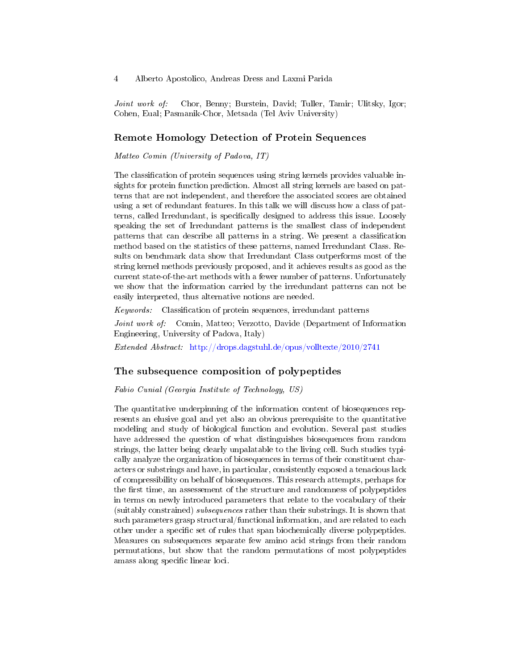Joint work of: Chor, Benny; Burstein, David; Tuller, Tamir; Ulitsky, Igor; Cohen, Eual; Pasmanik-Chor, Metsada (Tel Aviv University)

### Remote Homology Detection of Protein Sequences

Matteo Comin (University of Padova, IT)

The classification of protein sequences using string kernels provides valuable insights for protein function prediction. Almost all string kernels are based on patterns that are not independent, and therefore the associated scores are obtained using a set of redundant features. In this talk we will discuss how a class of patterns, called Irredundant, is specifically designed to address this issue. Loosely speaking the set of Irredundant patterns is the smallest class of independent patterns that can describe all patterns in a string. We present a classification method based on the statistics of these patterns, named Irredundant Class. Results on benchmark data show that Irredundant Class outperforms most of the string kernel methods previously proposed, and it achieves results as good as the current state-of-the-art methods with a fewer number of patterns. Unfortunately we show that the information carried by the irredundant patterns can not be easily interpreted, thus alternative notions are needed.

 $Keywords:$  Classification of protein sequences, irredundant patterns

Joint work of: Comin, Matteo; Verzotto, Davide (Department of Information Engineering, University of Padova, Italy)

Extended Abstract: <http://drops.dagstuhl.de/opus/volltexte/2010/2741>

### The subsequence composition of polypeptides

Fabio Cunial (Georgia Institute of Technology, US)

The quantitative underpinning of the information content of biosequences represents an elusive goal and yet also an obvious prerequisite to the quantitative modeling and study of biological function and evolution. Several past studies have addressed the question of what distinguishes biosequences from random strings, the latter being clearly unpalatable to the living cell. Such studies typically analyze the organization of biosequences in terms of their constituent characters or substrings and have, in particular, consistently exposed a tenacious lack of compressibility on behalf of biosequences. This research attempts, perhaps for the first time, an assessement of the structure and randomness of polypeptides in terms on newly introduced parameters that relate to the vocabulary of their (suitably constrained) subsequences rather than their substrings. It is shown that such parameters grasp structural/functional information, and are related to each other under a specific set of rules that span biochemically diverse polypeptides. Measures on subsequences separate few amino acid strings from their random permutations, but show that the random permutations of most polypeptides amass along specific linear loci.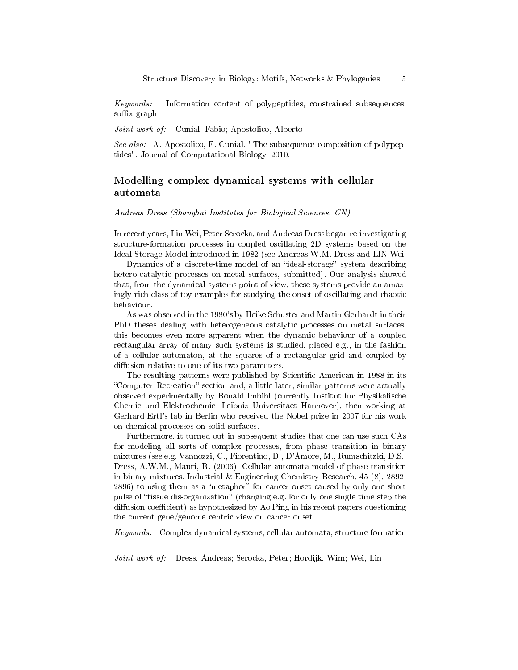Keywords: Information content of polypeptides, constrained subsequences, suffix graph

Joint work of: Cunial, Fabio; Apostolico, Alberto

See also: A. Apostolico, F. Cunial. "The subsequence composition of polypeptides". Journal of Computational Biology, 2010.

## Modelling complex dynamical systems with cellular automata

Andreas Dress (Shanghai Institutes for Biological Sciences, CN)

In recent years, Lin Wei, Peter Serocka, and Andreas Dress began re-investigating structure-formation processes in coupled oscillating 2D systems based on the Ideal-Storage Model introduced in 1982 (see Andreas W.M. Dress and LIN Wei:

Dynamics of a discrete-time model of an "ideal-storage" system describing hetero-catalytic processes on metal surfaces, submitted). Our analysis showed that, from the dynamical-systems point of view, these systems provide an amazingly rich class of toy examples for studying the onset of oscillating and chaotic behaviour.

As was observed in the 1980's by Heike Schuster and Martin Gerhardt in their PhD theses dealing with heterogeneous catalytic processes on metal surfaces, this becomes even more apparent when the dynamic behaviour of a coupled rectangular array of many such systems is studied, placed e.g., in the fashion of a cellular automaton, at the squares of a rectangular grid and coupled by diffusion relative to one of its two parameters.

The resulting patterns were published by Scientific American in 1988 in its "Computer-Recreation" section and, a little later, similar patterns were actually observed experimentally by Ronald Imbihl (currently Institut fur Physikalische Chemie und Elektrochemie, Leibniz Universitaet Hannover), then working at Gerhard Ertl's lab in Berlin who received the Nobel prize in 2007 for his work on chemical processes on solid surfaces.

Furthermore, it turned out in subsequent studies that one can use such CAs for modeling all sorts of complex processes, from phase transition in binary mixtures (see e.g. Vannozzi, C., Fiorentino, D., D'Amore, M., Rumschitzki, D.S., Dress, A.W.M., Mauri, R. (2006): Cellular automata model of phase transition in binary mixtures. Industrial & Engineering Chemistry Research, 45 (8), 2892- 2896) to using them as a "metaphor" for cancer onset caused by only one short pulse of "tissue dis-organization" (changing e.g. for only one single time step the diffusion coefficient) as hypothesized by Ao Ping in his recent papers questioning the current gene/genome centric view on cancer onset.

Keywords: Complex dynamical systems, cellular automata, structure formation

Joint work of: Dress, Andreas; Serocka, Peter; Hordijk, Wim; Wei, Lin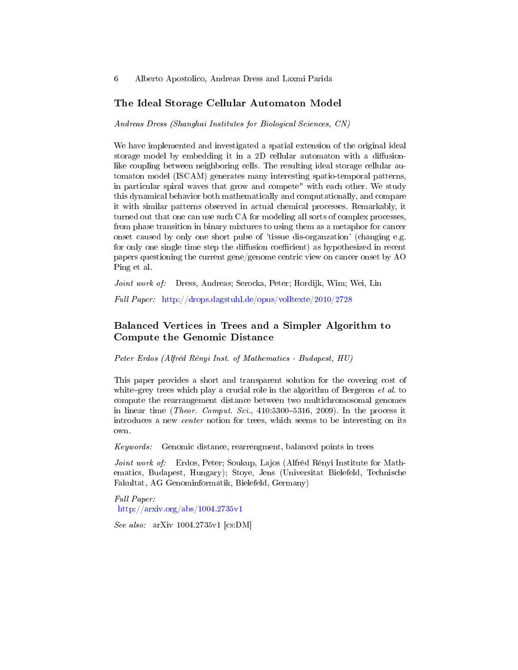### The Ideal Storage Cellular Automaton Model

Andreas Dress (Shanghai Institutes for Biological Sciences, CN)

We have implemented and investigated a spatial extension of the original ideal storage model by embedding it in a  $2D$  cellular automaton with a diffusionlike coupling between neighboring cells. The resulting ideal storage cellular automaton model (ISCAM) generates many interesting spatio-temporal patterns, in particular spiral waves that grow and compete" with each other. We study this dynamical behavior both mathematically and computationally, and compare it with similar patterns observed in actual chemical processes. Remarkably, it turned out that one can use such CA for modeling all sorts of complex processes, from phase transition in binary mixtures to using them as a metaphor for cancer onset caused by only one short pulse of 'tissue dis-organzation' (changing e.g. for only one single time step the diffusion coefficient) as hypothesized in recent papers questioning the current gene/genome centric view on cancer onset by AO Ping et al.

Joint work of: Dress, Andreas; Serocka, Peter; Hordijk, Wim; Wei, Lin

Full Paper: <http://drops.dagstuhl.de/opus/volltexte/2010/2728>

# Balanced Vertices in Trees and a Simpler Algorithm to Compute the Genomic Distance

Peter Erdos (Alfréd Rényi Inst. of Mathematics - Budapest, HU)

This paper provides a short and transparent solution for the covering cost of white-grey trees which play a crucial role in the algorithm of Bergeron  $et$  al. to compute the rearrangement distance between two multichromosomal genomes in linear time (*Theor. Comput. Sci.*, 410:5300–5316, 2009). In the process it introduces a new center notion for trees, which seems to be interesting on its own.

Keywords: Genomic distance, rearrengment, balanced points in trees

Joint work of: Erdos, Peter; Soukup, Lajos (Alfréd Rényi Institute for Mathematics, Budapest, Hungary); Stoye, Jens (Universitat Bielefeld, Technische Fakultat, AG Genominformatik, Bielefeld, Germany)

Full Paper: <http://arxiv.org/abs/1004.2735v1>

See also: arXiv 1004.2735v1 [cs:DM]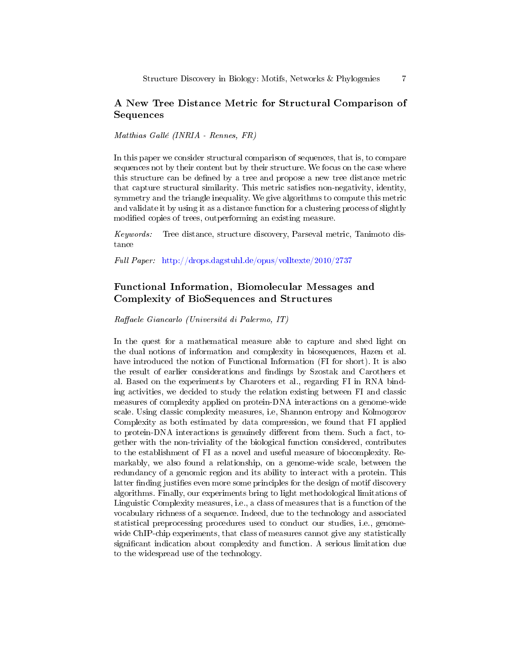# A New Tree Distance Metric for Structural Comparison of Sequences

Matthias Gallé (INRIA - Rennes, FR)

In this paper we consider structural comparison of sequences, that is, to compare sequences not by their content but by their structure. We focus on the case where this structure can be defined by a tree and propose a new tree distance metric that capture structural similarity. This metric satisfies non-negativity, identity, symmetry and the triangle inequality. We give algorithms to compute this metric and validate it by using it as a distance function for a clustering process of slightly modified copies of trees, outperforming an existing measure.

Keywords: Tree distance, structure discovery, Parseval metric, Tanimoto distance

Full Paper: <http://drops.dagstuhl.de/opus/volltexte/2010/2737>

# Functional Information, Biomolecular Messages and Complexity of BioSequences and Structures

Raffaele Giancarlo (Universitá di Palermo, IT)

In the quest for a mathematical measure able to capture and shed light on the dual notions of information and complexity in biosequences, Hazen et al. have introduced the notion of Functional Information (FI for short). It is also the result of earlier considerations and findings by Szostak and Carothers et al. Based on the experiments by Charoters et al., regarding FI in RNA binding activities, we decided to study the relation existing between FI and classic measures of complexity applied on protein-DNA interactions on a genome-wide scale. Using classic complexity measures, i.e, Shannon entropy and Kolmogorov Complexity as both estimated by data compression, we found that FI applied to protein-DNA interactions is genuinely different from them. Such a fact, together with the non-triviality of the biological function considered, contributes to the establishment of FI as a novel and useful measure of biocomplexity. Remarkably, we also found a relationship, on a genome-wide scale, between the redundancy of a genomic region and its ability to interact with a protein. This latter finding justifies even more some principles for the design of motif discovery algorithms. Finally, our experiments bring to light methodological limitations of Linguistic Complexity measures, i.e., a class of measures that is a function of the vocabulary richness of a sequence. Indeed, due to the technology and associated statistical preprocessing procedures used to conduct our studies, i.e., genomewide ChIP-chip experiments, that class of measures cannot give any statistically significant indication about complexity and function. A serious limitation due to the widespread use of the technology.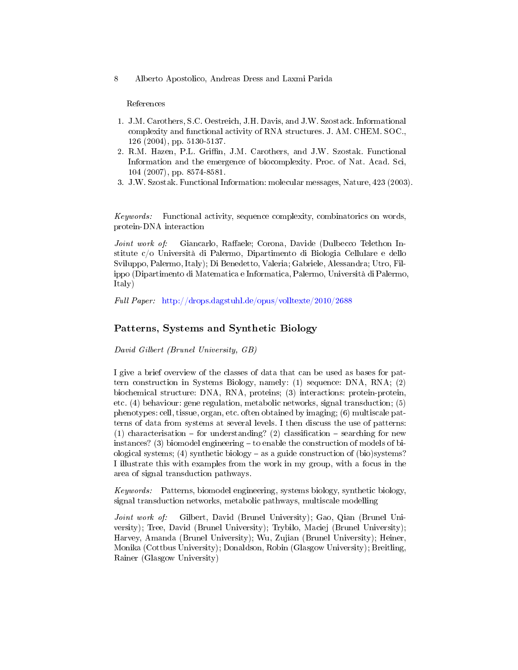#### References

- 1. J.M. Carothers, S.C. Oestreich, J.H. Davis, and J.W. Szostack. Informational complexity and functional activity of RNA structures. J. AM. CHEM. SOC., 126 (2004), pp. 5130-5137.
- 2. R.M. Hazen, P.L. Griffin, J.M. Carothers, and J.W. Szostak. Functional Information and the emergence of biocomplexity. Proc. of Nat. Acad. Sci, 104 (2007), pp. 8574-8581.
- 3. J.W. Szostak. Functional Information: molecular messages, Nature, 423 (2003).

Keywords: Functional activity, sequence complexity, combinatorics on words, protein-DNA interaction

Joint work of: Giancarlo, Raffaele; Corona, Davide (Dulbecco Telethon Institute c/o Università di Palermo, Dipartimento di Biologia Cellulare e dello Sviluppo, Palermo, Italy); Di Benedetto, Valeria; Gabriele, Alessandra; Utro, Filippo (Dipartimento di Matematica e Informatica, Palermo, Università di Palermo, Italy)

Full Paper: <http://drops.dagstuhl.de/opus/volltexte/2010/2688>

### Patterns, Systems and Synthetic Biology

David Gilbert (Brunel University, GB)

I give a brief overview of the classes of data that can be used as bases for pattern construction in Systems Biology, namely: (1) sequence: DNA, RNA; (2) biochemical structure: DNA, RNA, proteins; (3) interactions: protein-protein, etc. (4) behaviour: gene regulation, metabolic networks, signal transduction; (5) phenotypes: cell, tissue, organ, etc. often obtained by imaging; (6) multiscale patterns of data from systems at several levels. I then discuss the use of patterns: (1) characterisation  $-$  for understanding? (2) classification  $-$  searching for new instances? (3) biomodel engineering  $-$  to enable the construction of models of biological systems; (4) synthetic biology  $-\text{as a guide construction of (bio) systems?}$ I illustrate this with examples from the work in my group, with a focus in the area of signal transduction pathways.

Keywords: Patterns, biomodel engineering, systems biology, synthetic biology, signal transduction networks, metabolic pathways, multiscale modelling

Joint work of: Gilbert, David (Brunel University); Gao, Qian (Brunel University); Tree, David (Brunel University); Trybilo, Maciej (Brunel University); Harvey, Amanda (Brunel University); Wu, Zujian (Brunel University); Heiner, Monika (Cottbus University); Donaldson, Robin (Glasgow University); Breitling, Rainer (Glasgow University)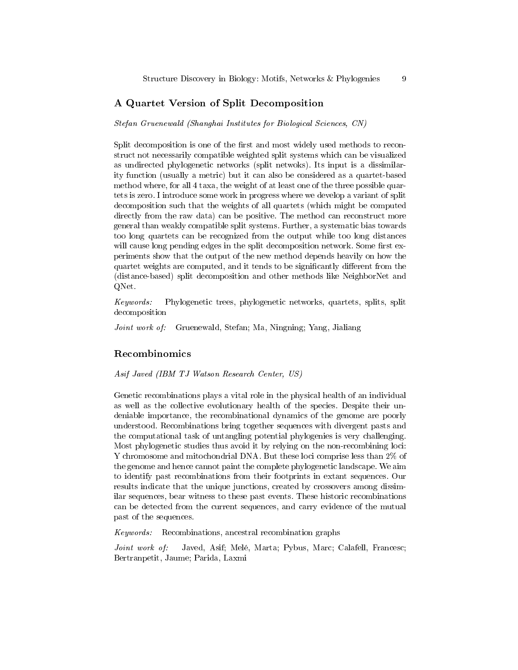## A Quartet Version of Split Decomposition

Stefan Gruenewald (Shanghai Institutes for Biological Sciences, CN)

Split decomposition is one of the first and most widely used methods to reconstruct not necessarily compatible weighted split systems which can be visualized as undirected phylogenetic networks (split netwoks). Its input is a dissimilarity function (usually a metric) but it can also be considered as a quartet-based method where, for all 4 taxa, the weight of at least one of the three possible quartets is zero. I introduce some work in progress where we develop a variant of split decomposition such that the weights of all quartets (which might be computed directly from the raw data) can be positive. The method can reconstruct more general than weakly compatible split systems. Further, a systematic bias towards too long quartets can be recognized from the output while too long distances will cause long pending edges in the split decomposition network. Some first experiments show that the output of the new method depends heavily on how the quartet weights are computed, and it tends to be significantly different from the (distance-based) split decomposition and other methods like NeighborNet and QNet.

Keywords: Phylogenetic trees, phylogenetic networks, quartets, splits, split decomposition

Joint work of: Gruenewald, Stefan; Ma, Ningning; Yang, Jialiang

### Recombinomics

Asif Javed (IBM TJ Watson Research Center, US)

Genetic recombinations plays a vital role in the physical health of an individual as well as the collective evolutionary health of the species. Despite their undeniable importance, the recombinational dynamics of the genome are poorly understood. Recombinations bring together sequences with divergent pasts and the computational task of untangling potential phylogenies is very challenging. Most phylogenetic studies thus avoid it by relying on the non-recombining loci: Y chromosome and mitochondrial DNA. But these loci comprise less than 2% of the genome and hence cannot paint the complete phylogenetic landscape. We aim to identify past recombinations from their footprints in extant sequences. Our results indicate that the unique junctions, created by crossovers among dissimilar sequences, bear witness to these past events. These historic recombinations can be detected from the current sequences, and carry evidence of the mutual past of the sequences.

Keywords: Recombinations, ancestral recombination graphs

Joint work of: Javed, Asif; Melé, Marta; Pybus, Marc; Calafell, Francesc; Bertranpetit, Jaume; Parida, Laxmi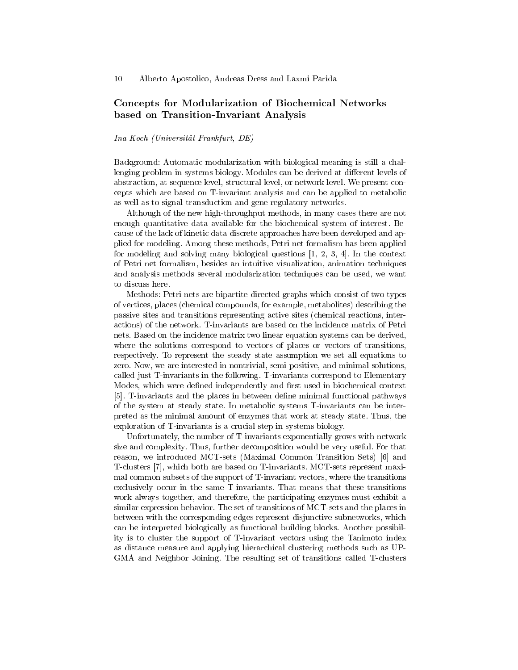# Concepts for Modularization of Biochemical Networks based on Transition-Invariant Analysis

### Ina Koch (Universität Frankfurt, DE)

Background: Automatic modularization with biological meaning is still a challenging problem in systems biology. Modules can be derived at different levels of abstraction, at sequence level, structural level, or network level. We present concepts which are based on T-invariant analysis and can be applied to metabolic as well as to signal transduction and gene regulatory networks.

Although of the new high-throughput methods, in many cases there are not enough quantitative data available for the biochemical system of interest. Because of the lack of kinetic data discrete approaches have been developed and applied for modeling. Among these methods, Petri net formalism has been applied for modeling and solving many biological questions [1, 2, 3, 4]. In the context of Petri net formalism, besides an intuitive visualization, animation techniques and analysis methods several modularization techniques can be used, we want to discuss here.

Methods: Petri nets are bipartite directed graphs which consist of two types of vertices, places (chemical compounds, for example, metabolites) describing the passive sites and transitions representing active sites (chemical reactions, interactions) of the network. T-invariants are based on the incidence matrix of Petri nets. Based on the incidence matrix two linear equation systems can be derived, where the solutions correspond to vectors of places or vectors of transitions, respectively. To represent the steady state assumption we set all equations to zero. Now, we are interested in nontrivial, semi-positive, and minimal solutions, called just T-invariants in the following. T-invariants correspond to Elementary Modes, which were defined independently and first used in biochemical context [5]. T-invariants and the places in between define minimal functional pathways of the system at steady state. In metabolic systems T-invariants can be interpreted as the minimal amount of enzymes that work at steady state. Thus, the exploration of T-invariants is a crucial step in systems biology.

Unfortunately, the number of T-invariants exponentially grows with network size and complexity. Thus, further decomposition would be very useful. For that reason, we introduced MCT-sets (Maximal Common Transition Sets) [6] and T-clusters [7], which both are based on T-invariants. MCT-sets represent maximal common subsets of the support of T-invariant vectors, where the transitions exclusively occur in the same T-invariants. That means that these transitions work always together, and therefore, the participating enzymes must exhibit a similar expression behavior. The set of transitions of MCT-sets and the places in between with the corresponding edges represent disjunctive subnetworks, which can be interpreted biologically as functional building blocks. Another possibility is to cluster the support of T-invariant vectors using the Tanimoto index as distance measure and applying hierarchical clustering methods such as UP-GMA and Neighbor Joining. The resulting set of transitions called T-clusters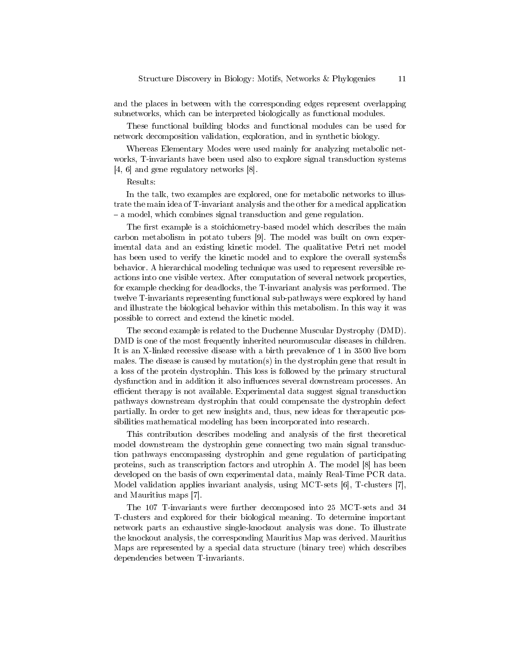and the places in between with the corresponding edges represent overlapping subnetworks, which can be interpreted biologically as functional modules.

These functional building blocks and functional modules can be used for network decomposition validation, exploration, and in synthetic biology.

Whereas Elementary Modes were used mainly for analyzing metabolic networks, T-invariants have been used also to explore signal transduction systems [4, 6] and gene regulatory networks [8].

#### Results:

In the talk, two examples are explored, one for metabolic networks to illustrate the main idea of T-invariant analysis and the other for a medical application - a model, which combines signal transduction and gene regulation.

The first example is a stoichiometry-based model which describes the main carbon metabolism in potato tubers [9]. The model was built on own experimental data and an existing kinetic model. The qualitative Petri net model has been used to verify the kinetic model and to explore the overall systemss behavior. A hierarchical modeling technique was used to represent reversible reactions into one visible vertex. After computation of several network properties, for example checking for deadlocks, the T-invariant analysis was performed. The twelve T-invariants representing functional sub-pathways were explored by hand and illustrate the biological behavior within this metabolism. In this way it was possible to correct and extend the kinetic model.

The second example is related to the Duchenne Muscular Dystrophy (DMD). DMD is one of the most frequently inherited neuromuscular diseases in children. It is an X-linked recessive disease with a birth prevalence of 1 in 3500 live born males. The disease is caused by mutation(s) in the dystrophin gene that result in a loss of the protein dystrophin. This loss is followed by the primary structural dysfunction and in addition it also influences several downstream processes. An efficient therapy is not available. Experimental data suggest signal transduction pathways downstream dystrophin that could compensate the dystrophin defect partially. In order to get new insights and, thus, new ideas for therapeutic possibilities mathematical modeling has been incorporated into research.

This contribution describes modeling and analysis of the first theoretical model downstream the dystrophin gene connecting two main signal transduction pathways encompassing dystrophin and gene regulation of participating proteins, such as transcription factors and utrophin A. The model [8] has been developed on the basis of own experimental data, mainly Real-Time PCR data. Model validation applies invariant analysis, using MCT-sets [6], T-clusters [7], and Mauritius maps [7].

The 107 T-invariants were further decomposed into 25 MCT-sets and 34 T-clusters and explored for their biological meaning. To determine important network parts an exhaustive single-knockout analysis was done. To illustrate the knockout analysis, the corresponding Mauritius Map was derived. Mauritius Maps are represented by a special data structure (binary tree) which describes dependencies between T-invariants.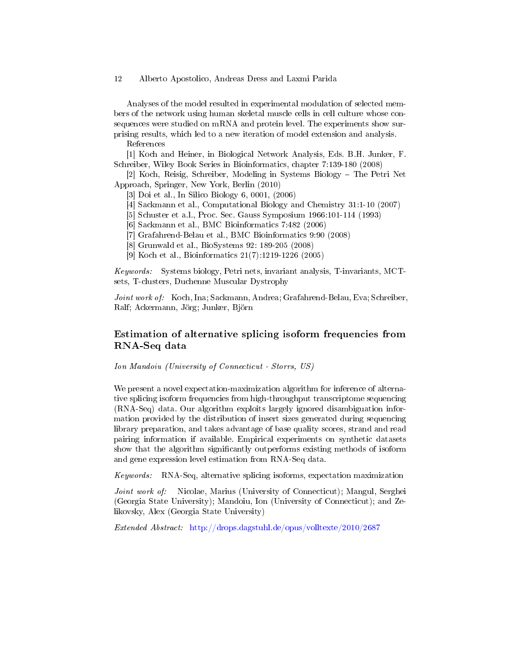Analyses of the model resulted in experimental modulation of selected members of the network using human skeletal muscle cells in cell culture whose consequences were studied on mRNA and protein level. The experiments show surprising results, which led to a new iteration of model extension and analysis.

References

[1] Koch and Heiner, in Biological Network Analysis, Eds. B.H. Junker, F. Schreiber, Wiley Book Series in Bioinformatics, chapter 7:139-180 (2008)

[2] Koch, Reisig, Schreiber, Modeling in Systems Biology The Petri Net Approach, Springer, New York, Berlin (2010)

[3] Doi et al., In Silico Biology 6, 0001, (2006)

- [4] Sackmann et al., Computational Biology and Chemistry 31:1-10 (2007)
- [5] Schuster et a.l., Proc. Sec. Gauss Symposium 1966:101-114 (1993)
- [6] Sackmann et al., BMC Bioinformatics 7:482 (2006)
- [7] Grafahrend-Belau et al., BMC Bioinformatics 9:90 (2008)
- [8] Grunwald et al., BioSystems 92: 189-205 (2008)
- [9] Koch et al., Bioinformatics 21(7):1219-1226 (2005)

Keywords: Systems biology, Petri nets, invariant analysis, T-invariants, MCTsets, T-clusters, Duchenne Muscular Dystrophy

Joint work of: Koch, Ina; Sackmann, Andrea; Grafahrend-Belau, Eva; Schreiber, Ralf; Ackermann, Jörg; Junker, Björn

# Estimation of alternative splicing isoform frequencies from RNA-Seq data

Ion Mandoiu (University of Connecticut - Storrs, US)

We present a novel expectation-maximization algorithm for inference of alternative splicing isoform frequencies from high-throughput transcriptome sequencing (RNA-Seq) data. Our algorithm exploits largely ignored disambiguation information provided by the distribution of insert sizes generated during sequencing library preparation, and takes advantage of base quality scores, strand and read pairing information if available. Empirical experiments on synthetic datasets show that the algorithm signicantly outperforms existing methods of isoform and gene expression level estimation from RNA-Seq data.

Keywords: RNA-Seq, alternative splicing isoforms, expectation maximization

Joint work of: Nicolae, Marius (University of Connecticut); Mangul, Serghei (Georgia State University); Mandoiu, Ion (University of Connecticut); and Zelikovsky, Alex (Georgia State University)

Extended Abstract: <http://drops.dagstuhl.de/opus/volltexte/2010/2687>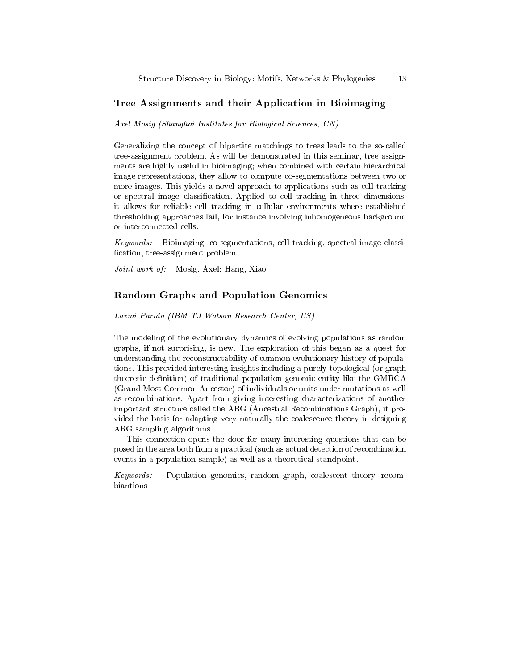### Tree Assignments and their Application in Bioimaging

Axel Mosig (Shanghai Institutes for Biological Sciences, CN)

Generalizing the concept of bipartite matchings to trees leads to the so-called tree-assignment problem. As will be demonstrated in this seminar, tree assignments are highly useful in bioimaging; when combined with certain hierarchical image representations, they allow to compute co-segmentations between two or more images. This yields a novel approach to applications such as cell tracking or spectral image classification. Applied to cell tracking in three dimensions, it allows for reliable cell tracking in cellular environments where established thresholding approaches fail, for instance involving inhomogeneous background or interconnected cells.

Keywords: Bioimaging, co-segmentations, cell tracking, spectral image classi fication, tree-assignment problem

Joint work of: Mosig, Axel; Hang, Xiao

### Random Graphs and Population Genomics

Laxmi Parida (IBM TJ Watson Research Center, US)

The modeling of the evolutionary dynamics of evolving populations as random graphs, if not surprising, is new. The exploration of this began as a quest for understanding the reconstructability of common evolutionary history of populations. This provided interesting insights including a purely topological (or graph theoretic definition) of traditional population genomic entity like the GMRCA (Grand Most Common Ancestor) of individuals or units under mutations as well as recombinations. Apart from giving interesting characterizations of another important structure called the ARG (Ancestral Recombinations Graph), it provided the basis for adapting very naturally the coalescence theory in designing ARG sampling algorithms.

This connection opens the door for many interesting questions that can be posed in the area both from a practical (such as actual detection of recombination events in a population sample) as well as a theoretical standpoint.

Keywords: Population genomics, random graph, coalescent theory, recombiantions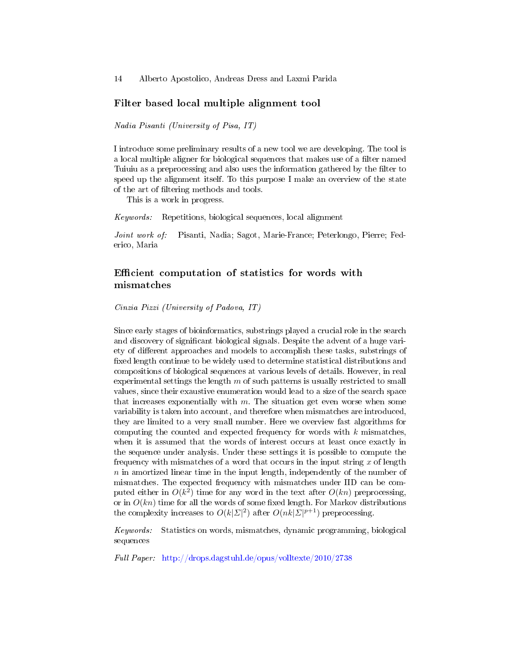### Filter based local multiple alignment tool

Nadia Pisanti (University of Pisa, IT)

I introduce some preliminary results of a new tool we are developing. The tool is a local multiple aligner for biological sequences that makes use of a filter named Tuiuiu as a preprocessing and also uses the information gathered by the filter to speed up the alignment itself. To this purpose I make an overview of the state of the art of ltering methods and tools.

This is a work in progress.

Keywords: Repetitions, biological sequences, local alignment

Joint work of: Pisanti, Nadia; Sagot, Marie-France; Peterlongo, Pierre; Federico, Maria

# Efficient computation of statistics for words with mismatches

Cinzia Pizzi (University of Padova, IT)

Since early stages of bioinformatics, substrings played a crucial role in the search and discovery of significant biological signals. Despite the advent of a huge variety of different approaches and models to accomplish these tasks, substrings of fixed length continue to be widely used to determine statistical distributions and compositions of biological sequences at various levels of details. However, in real experimental settings the length  $m$  of such patterns is usually restricted to small values, since their exaustive enumeration would lead to a size of the search space that increases exponentially with  $m$ . The situation get even worse when some variability is taken into account, and therefore when mismatches are introduced, they are limited to a very small number. Here we overview fast algorithms for computing the counted and expected frequency for words with  $k$  mismatches, when it is assumed that the words of interest occurs at least once exactly in the sequence under analysis. Under these settings it is possible to compute the frequency with mismatches of a word that occurs in the input string  $x$  of length  $n$  in amortized linear time in the input length, independently of the number of mismatches. The expected frequency with mismatches under IID can be computed either in  $O(k^2)$  time for any word in the text after  $O(kn)$  preprocessing, or in  $O(kn)$  time for all the words of some fixed length. For Markov distributions the complexity increases to  $O(k|\Sigma|^2)$  after  $O(nk|\Sigma|^{p+1})$  preprocessing.

Keywords: Statistics on words, mismatches, dynamic programming, biological sequences

Full Paper: <http://drops.dagstuhl.de/opus/volltexte/2010/2738>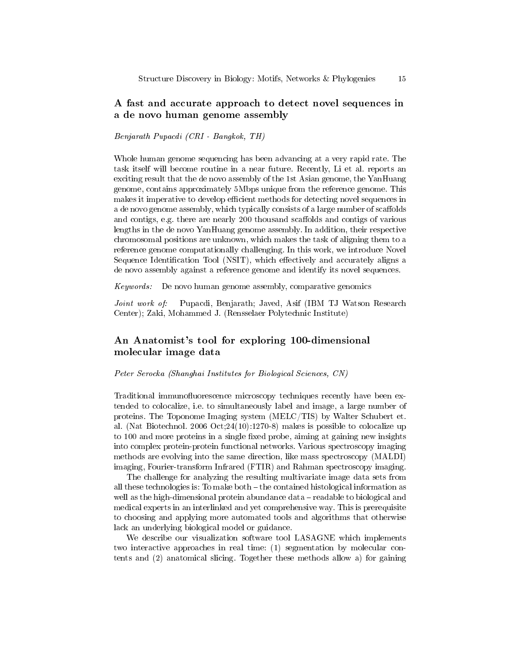# A fast and accurate approach to detect novel sequences in a de novo human genome assembly

#### Benjarath Pupacdi (CRI - Bangkok, TH)

Whole human genome sequencing has been advancing at a very rapid rate. The task itself will become routine in a near future. Recently, Li et al. reports an exciting result that the de novo assembly of the 1st Asian genome, the YanHuang genome, contains approximately 5Mbps unique from the reference genome. This makes it imperative to develop efficient methods for detecting novel sequences in a de novo genome assembly, which typically consists of a large number of scaffolds and contigs, e.g. there are nearly 200 thousand scaffolds and contigs of various lengths in the de novo YanHuang genome assembly. In addition, their respective chromosomal positions are unknown, which makes the task of aligning them to a reference genome computationally challenging. In this work, we introduce Novel Sequence Identification Tool (NSIT), which effectively and accurately aligns a de novo assembly against a reference genome and identify its novel sequences.

Keywords: De novo human genome assembly, comparative genomics

Joint work of: Pupacdi, Benjarath; Javed, Asif (IBM TJ Watson Research Center); Zaki, Mohammed J. (Rensselaer Polytechnic Institute)

# An Anatomist's tool for exploring 100-dimensional molecular image data

Peter Serocka (Shanghai Institutes for Biological Sciences, CN)

Traditional immunofluorescence microscopy techniques recently have been extended to colocalize, i.e. to simultaneously label and image, a large number of proteins. The Toponome Imaging system (MELC/TIS) by Walter Schubert et. al. (Nat Biotechnol. 2006 Oct;24(10):1270-8) makes is possible to colocalize up to 100 and more proteins in a single fixed probe, aiming at gaining new insights into complex protein-protein functional networks. Various spectroscopy imaging methods are evolving into the same direction, like mass spectroscopy (MALDI) imaging, Fourier-transform Infrared (FTIR) and Rahman spectroscopy imaging.

The challenge for analyzing the resulting multivariate image data sets from all these technologies is: To make both  $-\text{the contained histological information as}$ well as the high-dimensional protein abundance data - readable to biological and medical experts in an interlinked and yet comprehensive way. This is prerequisite to choosing and applying more automated tools and algorithms that otherwise lack an underlying biological model or guidance.

We describe our visualization software tool LASAGNE which implements two interactive approaches in real time: (1) segmentation by molecular contents and (2) anatomical slicing. Together these methods allow a) for gaining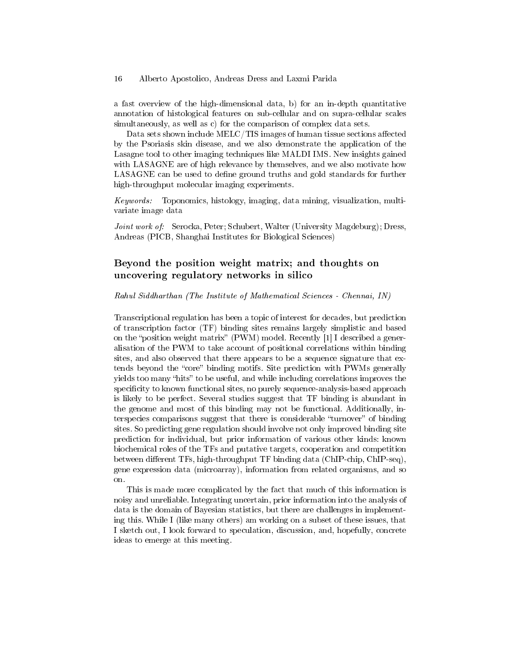a fast overview of the high-dimensional data, b) for an in-depth quantitative annotation of histological features on sub-cellular and on supra-cellular scales simultaneously, as well as c) for the comparison of complex data sets.

Data sets shown include  $MELC/TIS$  images of human tissue sections affected by the Psoriasis skin disease, and we also demonstrate the application of the Lasagne tool to other imaging techniques like MALDI IMS. New insights gained with LASAGNE are of high relevance by themselves, and we also motivate how LASAGNE can be used to define ground truths and gold standards for further high-throughput molecular imaging experiments.

Keywords: Toponomics, histology, imaging, data mining, visualization, multivariate image data

Joint work of: Serocka, Peter; Schubert, Walter (University Magdeburg); Dress, Andreas (PICB, Shanghai Institutes for Biological Sciences)

# Beyond the position weight matrix; and thoughts on uncovering regulatory networks in silico

#### Rahul Siddharthan (The Institute of Mathematical Sciences - Chennai, IN)

Transcriptional regulation has been a topic of interest for decades, but prediction of transcription factor (TF) binding sites remains largely simplistic and based on the "position weight matrix" (PWM) model. Recently  $[1]$  I described a generalisation of the PWM to take account of positional correlations within binding sites, and also observed that there appears to be a sequence signature that extends beyond the "core" binding motifs. Site prediction with PWMs generally yields too many "hits" to be useful, and while including correlations improves the specificity to known functional sites, no purely sequence-analysis-based approach is likely to be perfect. Several studies suggest that TF binding is abundant in the genome and most of this binding may not be functional. Additionally, interspecies comparisons suggest that there is considerable "turnover" of binding sites. So predicting gene regulation should involve not only improved binding site prediction for individual, but prior information of various other kinds: known biochemical roles of the TFs and putative targets, cooperation and competition between different TFs, high-throughput TF binding data (ChIP-chip, ChIP-seq), gene expression data (microarray), information from related organisms, and so on.

This is made more complicated by the fact that much of this information is noisy and unreliable. Integrating uncertain, prior information into the analysis of data is the domain of Bayesian statistics, but there are challenges in implementing this. While I (like many others) am working on a subset of these issues, that I sketch out, I look forward to speculation, discussion, and, hopefully, concrete ideas to emerge at this meeting.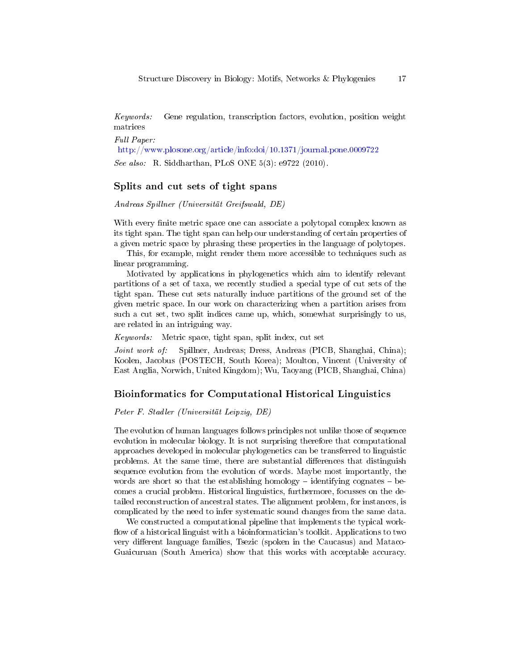Keywords: Gene regulation, transcription factors, evolution, position weight matrices

Full Paper: <http://www.plosone.org/article/info:doi/10.1371/journal.pone.0009722>

See also: R. Siddharthan, PLoS ONE 5(3): e9722 (2010).

# Splits and cut sets of tight spans

Andreas Spillner (Universität Greifswald, DE)

With every finite metric space one can associate a polytopal complex known as its tight span. The tight span can help our understanding of certain properties of a given metric space by phrasing these properties in the language of polytopes.

This, for example, might render them more accessible to techniques such as linear programming.

Motivated by applications in phylogenetics which aim to identify relevant partitions of a set of taxa, we recently studied a special type of cut sets of the tight span. These cut sets naturally induce partitions of the ground set of the given metric space. In our work on characterizing when a partition arises from such a cut set, two split indices came up, which, somewhat surprisingly to us, are related in an intriguing way.

Keywords: Metric space, tight span, split index, cut set

Joint work of: Spillner, Andreas; Dress, Andreas (PICB, Shanghai, China); Koolen, Jacobus (POSTECH, South Korea); Moulton, Vincent (University of East Anglia, Norwich, United Kingdom); Wu, Taoyang (PICB, Shanghai, China)

### Bioinformatics for Computational Historical Linguistics

Peter F. Stadler (Universität Leipzig, DE)

The evolution of human languages follows principles not unlike those of sequence evolution in molecular biology. It is not surprising therefore that computational approaches developed in molecular phylogenetics can be transferred to linguistic problems. At the same time, there are substantial differences that distinguish sequence evolution from the evolution of words. Maybe most importantly, the words are short so that the establishing homology  $-$  identifying cognates  $-$  becomes a crucial problem. Historical linguistics, furthermore, focusses on the detailed reconstruction of ancestral states. The alignment problem, for instances, is complicated by the need to infer systematic sound changes from the same data.

We constructed a computational pipeline that implements the typical work flow of a historical linguist with a bioinformatician's toolkit. Applications to two very different language families, Tsezic (spoken in the Caucasus) and Mataco-Guaicuruan (South America) show that this works with acceptable accuracy.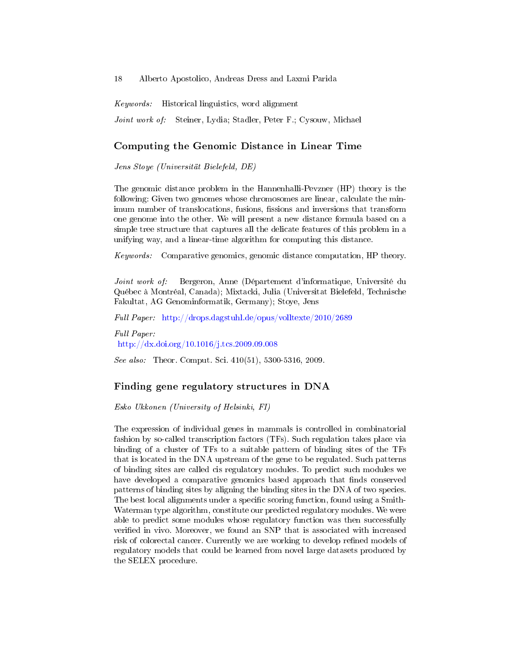Keywords: Historical linguistics, word alignment Joint work of: Steiner, Lydia; Stadler, Peter F.; Cysouw, Michael

### Computing the Genomic Distance in Linear Time

Jens Stoye (Universität Bielefeld, DE)

The genomic distance problem in the Hannenhalli-Pevzner (HP) theory is the following: Given two genomes whose chromosomes are linear, calculate the minimum number of translocations, fusions, fissions and inversions that transform one genome into the other. We will present a new distance formula based on a simple tree structure that captures all the delicate features of this problem in a unifying way, and a linear-time algorithm for computing this distance.

Keywords: Comparative genomics, genomic distance computation, HP theory.

Joint work of: Bergeron, Anne (Département d'informatique, Université du Québec à Montréal, Canada); Mixtacki, Julia (Universitat Bielefeld, Technische Fakultat, AG Genominformatik, Germany); Stoye, Jens

Full Paper: <http://drops.dagstuhl.de/opus/volltexte/2010/2689>

Full Paper: <http://dx.doi.org/10.1016/j.tcs.2009.09.008>

See also: Theor. Comput. Sci. 410(51), 5300-5316, 2009.

### Finding gene regulatory structures in DNA

Esko Ukkonen (University of Helsinki, FI)

The expression of individual genes in mammals is controlled in combinatorial fashion by so-called transcription factors (TFs). Such regulation takes place via binding of a cluster of TFs to a suitable pattern of binding sites of the TFs that is located in the DNA upstream of the gene to be regulated. Such patterns of binding sites are called cis regulatory modules. To predict such modules we have developed a comparative genomics based approach that finds conserved patterns of binding sites by aligning the binding sites in the DNA of two species. The best local alignments under a specific scoring function, found using a Smith-Waterman type algorithm, constitute our predicted regulatory modules. We were able to predict some modules whose regulatory function was then successfully verified in vivo. Moreover, we found an SNP that is associated with increased risk of colorectal cancer. Currently we are working to develop refined models of regulatory models that could be learned from novel large datasets produced by the SELEX procedure.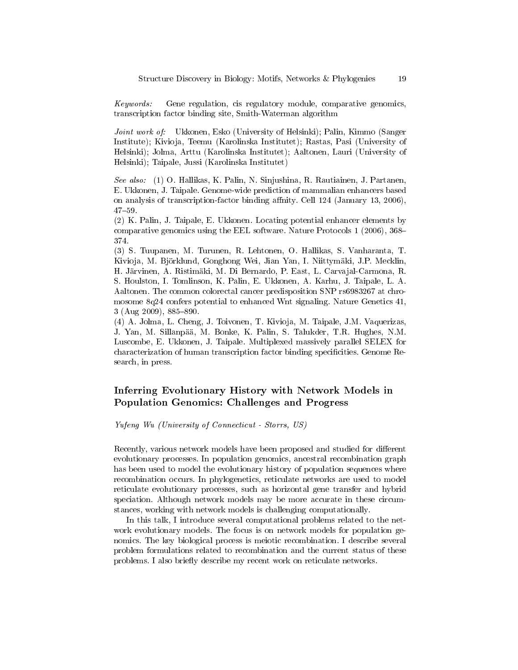Keywords: Gene regulation, cis regulatory module, comparative genomics, transcription factor binding site, Smith-Waterman algorithm

Joint work of: Ukkonen, Esko (University of Helsinki); Palin, Kimmo (Sanger Institute); Kivioja, Teemu (Karolinska Institutet); Rastas, Pasi (University of Helsinki); Jolma, Arttu (Karolinska Institutet); Aaltonen, Lauri (University of Helsinki); Taipale, Jussi (Karolinska Institutet)

See also: (1) O. Hallikas, K. Palin, N. Sinjushina, R. Rautiainen, J. Partanen, E. Ukkonen, J. Taipale. Genome-wide prediction of mammalian enhancers based on analysis of transcription-factor binding affnity. Cell 124 (January 13, 2006), 4759.

(2) K. Palin, J. Taipale, E. Ukkonen. Locating potential enhancer elements by comparative genomics using the EEL software. Nature Protocols 1 (2006), 368 374.

(3) S. Tuupanen, M. Turunen, R. Lehtonen, O. Hallikas, S. Vanharanta, T. Kivioja, M. Björklund, Gonghong Wei, Jian Yan, I. Niittymäki, J.P. Mecklin, H. Järvinen, A. Ristimäki, M. Di Bernardo, P. East, L. Carvajal-Carmona, R. S. Houlston, I. Tomlinson, K. Palin, E. Ukkonen, A. Karhu, J. Taipale, L. A. Aaltonen. The common colorectal cancer predisposition SNP rs6983267 at chromosome 8q24 confers potential to enhanced Wnt signaling. Nature Genetics 41,  $3$  (Aug 2009), 885-890.

(4) A. Jolma, L. Cheng, J. Toivonen, T. Kivioja, M. Taipale, J.M. Vaquerizas, J. Yan, M. Sillanpää, M. Bonke, K. Palin, S. Talukder, T.R. Hughes, N.M. Luscombe, E. Ukkonen, J. Taipale. Multiplexed massively parallel SELEX for characterization of human transcription factor binding specificities. Genome Research, in press.

# Inferring Evolutionary History with Network Models in Population Genomics: Challenges and Progress

Yufeng Wu (University of Connecticut - Storrs, US)

Recently, various network models have been proposed and studied for different evolutionary processes. In population genomics, ancestral recombination graph has been used to model the evolutionary history of population sequences where recombination occurs. In phylogenetics, reticulate networks are used to model reticulate evolutionary processes, such as horizontal gene transfer and hybrid speciation. Although network models may be more accurate in these circumstances, working with network models is challenging computationally.

In this talk, I introduce several computational problems related to the network evolutionary models. The focus is on network models for population genomics. The key biological process is meiotic recombination. I describe several problem formulations related to recombination and the current status of these problems. I also briefly describe my recent work on reticulate networks.